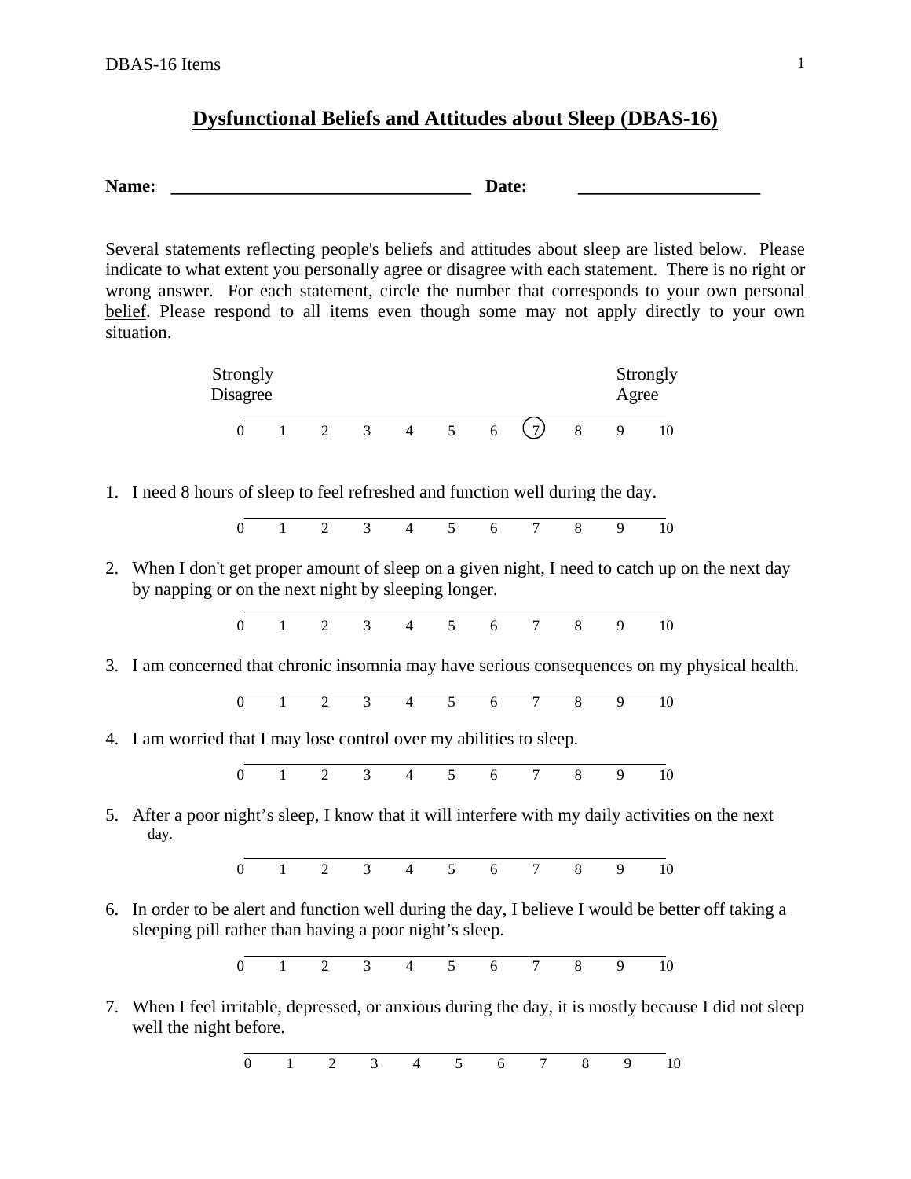## **Dysfunctional Beliefs and Attitudes about Sleep (DBAS-16)**

Name: Date:

Several statements reflecting people's beliefs and attitudes about sleep are listed below. Please indicate to what extent you personally agree or disagree with each statement. There is no right or wrong answer. For each statement, circle the number that corresponds to your own personal belief. Please respond to all items even though some may not apply directly to your own situation.



1. I need 8 hours of sleep to feel refreshed and function well during the day.

$$
\begin{array}{cccccccc}\n0 & 1 & 2 & 3 & 4 & 5 & 6 & 7 & 8 & 9 & 10\n\end{array}
$$

2. When I don't get proper amount of sleep on a given night, I need to catch up on the next day by napping or on the next night by sleeping longer.

> $\overline{0}$ 0 1 2 3 4 5 6 7 8 9 10

3. I am concerned that chronic insomnia may have serious consequences on my physical health.

$$
\begin{array}{cccccccc}\n0 & 1 & 2 & 3 & 4 & 5 & 6 & 7 & 8 & 9 & 10\n\end{array}
$$

4. I am worried that I may lose control over my abilities to sleep.

 $\overline{0}$ 0 1 2 3 4 5 6 7 8 9 10

5. After a poor night's sleep, I know that it will interfere with my daily activities on the next day.

$$
\begin{array}{cccccccc}\n0 & 1 & 2 & 3 & 4 & 5 & 6 & 7 & 8 & 9 & 10\n\end{array}
$$

6. In order to be alert and function well during the day, I believe I would be better off taking a sleeping pill rather than having a poor night's sleep.



7. When I feel irritable, depressed, or anxious during the day, it is mostly because I did not sleep well the night before.

$$
\begin{array}{cccccccc}\n0 & 1 & 2 & 3 & 4 & 5 & 6 & 7 & 8 & 9 & 10\n\end{array}
$$